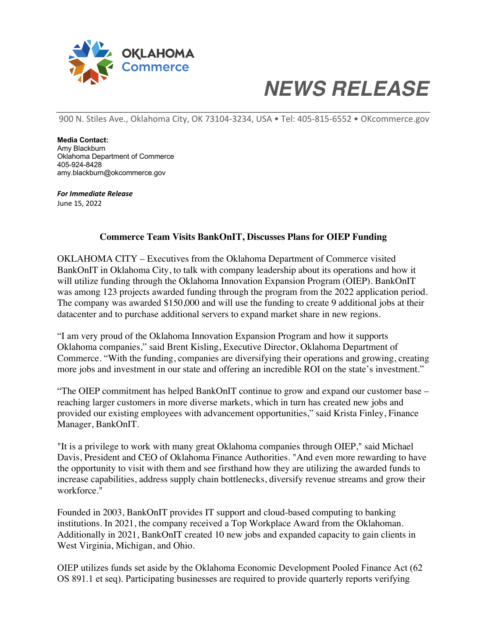

## *NEWS RELEASE*

900 N. Stiles Ave., Oklahoma City, OK 73104-3234, USA • Tel: 405-815-6552 • OKcommerce.gov

**Media Contact:** Amy Blackburn Oklahoma Department of Commerce 405-924-8428 amy.blackburn@okcommerce.gov

*For Immediate Release* June 15, 2022

## **Commerce Team Visits BankOnIT, Discusses Plans for OIEP Funding**

OKLAHOMA CITY – Executives from the Oklahoma Department of Commerce visited BankOnIT in Oklahoma City, to talk with company leadership about its operations and how it will utilize funding through the Oklahoma Innovation Expansion Program (OIEP). BankOnIT was among 123 projects awarded funding through the program from the 2022 application period. The company was awarded \$150,000 and will use the funding to create 9 additional jobs at their datacenter and to purchase additional servers to expand market share in new regions.

"I am very proud of the Oklahoma Innovation Expansion Program and how it supports Oklahoma companies," said Brent Kisling, Executive Director, Oklahoma Department of Commerce. "With the funding, companies are diversifying their operations and growing, creating more jobs and investment in our state and offering an incredible ROI on the state's investment."

"The OIEP commitment has helped BankOnIT continue to grow and expand our customer base – reaching larger customers in more diverse markets, which in turn has created new jobs and provided our existing employees with advancement opportunities," said Krista Finley, Finance Manager, BankOnIT.

"It is a privilege to work with many great Oklahoma companies through OIEP," said Michael Davis, President and CEO of Oklahoma Finance Authorities. "And even more rewarding to have the opportunity to visit with them and see firsthand how they are utilizing the awarded funds to increase capabilities, address supply chain bottlenecks, diversify revenue streams and grow their workforce."

Founded in 2003, BankOnIT provides IT support and cloud-based computing to banking institutions. In 2021, the company received a Top Workplace Award from the Oklahoman. Additionally in 2021, BankOnIT created 10 new jobs and expanded capacity to gain clients in West Virginia, Michigan, and Ohio.

OIEP utilizes funds set aside by the Oklahoma Economic Development Pooled Finance Act (62 OS 891.1 et seq). Participating businesses are required to provide quarterly reports verifying